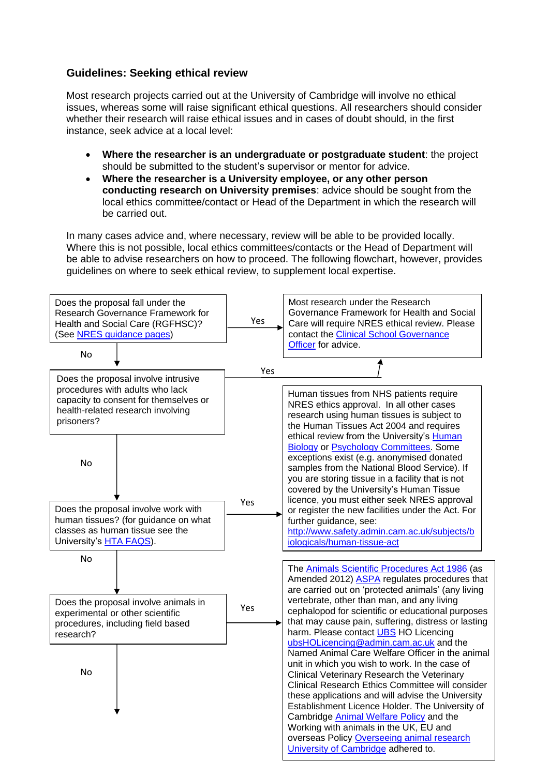## **Guidelines: Seeking ethical review**

Most research projects carried out at the University of Cambridge will involve no ethical issues, whereas some will raise significant ethical questions. All researchers should consider whether their research will raise ethical issues and in cases of doubt should, in the first instance, seek advice at a local level:

- **Where the researcher is an undergraduate or postgraduate student**: the project should be submitted to the student's supervisor or mentor for advice.
- **Where the researcher is a University employee, or any other person conducting research on University premises**: advice should be sought from the local ethics committee/contact or Head of the Department in which the research will be carried out.

In many cases advice and, where necessary, review will be able to be provided locally. Where this is not possible, local ethics committees/contacts or the Head of Department will be able to advise researchers on how to proceed. The following flowchart, however, provides guidelines on where to seek ethical review, to supplement local expertise.